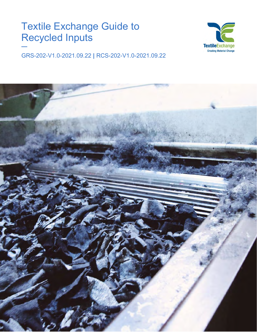# Textile Exchange Guide to Recycled Inputs

**—**



GRS-202-V1.0-2021.09.22 **|** RCS-202-V1.0-2021.09.22

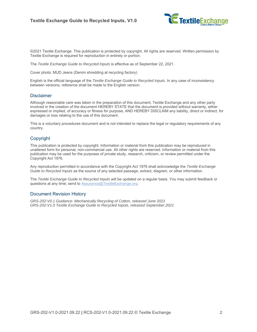

©2021 Textile Exchange. This publication is protected by copyright. All rights are reserved. Written permission by Textile Exchange is required for reproduction in entirety or portion.

The *Textile Exchange Guide to Recycled Inputs* is effective as of September 22, 2021.

Cover photo: MUD Jeans (Denim shredding at recycling factory)

English is the official language of the *Textile Exchange Guide to Recycled Inputs*. In any case of inconsistency between versions, reference shall be made to the English version.

#### Disclaimer

Although reasonable care was taken in the preparation of this document, Textile Exchange and any other party involved in the creation of the document HEREBY STATE that the document is provided without warranty, either expressed or implied, of accuracy or fitness for purpose, AND HEREBY DISCLAIM any liability, direct or indirect, for damages or loss relating to the use of this document.

This is a voluntary procedures document and is not intended to replace the legal or regulatory requirements of any country.

#### Copyright

This publication is protected by copyright. Information or material from this publication may be reproduced in unaltered form for personal, non-commercial use. All other rights are reserved. Information or material from this publication may be used for the purposes of private study, research, criticism, or review permitted under the Copyright Act 1976.

Any reproduction permitted in accordance with the Copyright Act 1976 shall acknowledge the *Textile Exchange Guide to Recycled Inputs* as the source of any selected passage, extract, diagram, or other information.

The *Textile Exchange Guide to Recycled Inputs* will be updated on a regular basis. You may submit feedback or questions at any time; send to [Assurance@TextileExchange.org.](mailto:Assurance@TextileExchange.org)

#### Document Revision History

*GRS-202-V0.1 Guidance: Mechanically Recycling of Cotton, released June 2021 GRS-202-V1.0 Textile Exchange Guide to Recycled Inputs, released September 2021*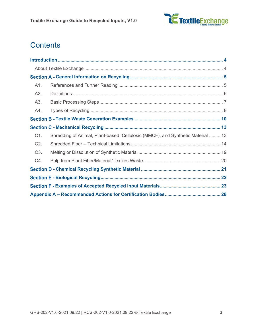

## **Contents**

| A1.              |                                                                                 |  |  |
|------------------|---------------------------------------------------------------------------------|--|--|
| A2.              |                                                                                 |  |  |
| A3.              |                                                                                 |  |  |
| A4.              |                                                                                 |  |  |
|                  |                                                                                 |  |  |
|                  |                                                                                 |  |  |
| C1.              | Shredding of Animal, Plant-based, Cellulosic (MMCF), and Synthetic Material  13 |  |  |
| C2.              |                                                                                 |  |  |
| C <sub>3</sub> . |                                                                                 |  |  |
| C4.              |                                                                                 |  |  |
|                  |                                                                                 |  |  |
|                  |                                                                                 |  |  |
|                  |                                                                                 |  |  |
|                  |                                                                                 |  |  |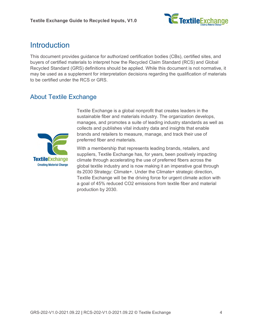

## <span id="page-3-0"></span>**Introduction**

This document provides guidance for authorized certification bodies (CBs), certified sites, and buyers of certified materials to interpret how the Recycled Claim Standard (RCS) and Global Recycled Standard (GRS) definitions should be applied. While this document is not normative, it may be used as a supplement for interpretation decisions regarding the qualification of materials to be certified under the RCS or GRS.

### <span id="page-3-1"></span>About Textile Exchange



Textile Exchange is a global nonprofit that creates leaders in the sustainable fiber and materials industry. The organization develops, manages, and promotes a suite of leading industry standards as well as collects and publishes vital industry data and insights that enable brands and retailers to measure, manage, and track their use of preferred fiber and materials.

With a membership that represents leading brands, retailers, and suppliers, Textile Exchange has, for years, been positively impacting climate through accelerating the use of preferred fibers across the global textile industry and is now making it an imperative goal through its [2030 Strategy: Climate+.](https://textileexchange.org/2030-strategy-climate-plus/) Under the Climate+ strategic direction, Textile Exchange will be the driving force for urgent climate action with a goal of 45% reduced CO2 emissions from textile fiber and material production by 2030.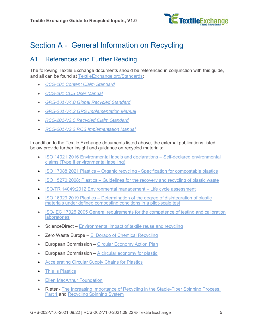

## <span id="page-4-0"></span>Section A - General Information on Recycling

### <span id="page-4-1"></span>A1. References and Further Reading

The following Textile Exchange documents should be referenced in conjunction with this guide, and all can be found at [TextileExchange.org/Standards:](https://textileexchange.org/Standards/)

- *[CCS-101 Content Claim Standard](https://textileexchange.org/documents/content-claim-standard-ccs/)*
- *[CCS-201 CCS User Manual](https://textileexchange.org/documents/ccs-user-manual/)*
- *[GRS-101-V4.0 Global Recycled Standard](https://textileexchange.org/documents/global-recycled-standard-grs/)*
- *[GRS-201-V4.2 GRS Implementation Manual](https://textileexchange.org/documents/grs-implementation-manual/)*
- *[RCS-201-V2.0 Recycled Claim Standard](https://textileexchange.org/documents/recycled-claim-standard-rcs/)*
- *[RCS-201-V2.2 RCS Implementation Manual](https://textileexchange.org/documents/rcs-implementation-manual/)*

In addition to the Textile Exchange documents listed above, the external publications listed below provide further insight and guidance on recycled materials:

- ISO 14021:2016 [Environmental labels and declarations –](https://www.iso.org/standard/66652.html) Self-declared environmental [claims \(Type II environmental labelling\)](https://www.iso.org/standard/66652.html)
- ISO 17088:2021 Plastics Organic recycling [Specification for compostable plastics](https://www.iso.org/standard/74994.html)
- ISO 15270:2008: Plastics [Guidelines for the recovery and recycling of plastic waste](https://www.iso.org/standard/45089.html)
- ISO/TR 14049:2012 [Environmental management –](https://www.iso.org/standard/57110.html) Life cycle assessment
- ISO 16929:2019 Plastics Determination of the degree of disintegration of plastic [materials under defined composting conditions in a pilot-scale test](https://www.iso.org/standard/72473.html)
- ISO/IEC 17025:2005 General requirements for the competence of testing and calibration **[laboratories](https://www.iso.org/standard/39883.html)**
- ScienceDirect [Environmental impact of textile reuse and recycling](https://www.sciencedirect.com/science/article/pii/S0959652618305985)
- Zero Waste Europe [El Dorado of Chemical Recycling](https://zerowasteeurope.eu/downloads/el-dorado-of-chemical-recycling-state-of-play-and-policy-challenges/)
- European Commission [Circular Economy Action Plan](https://ec.europa.eu/environment/pdf/circular-economy/new_circular_economy_action_plan.pdf)
- European Commission  $-$  [A circular economy for plastic](https://op.europa.eu/en/publication-detail/-/publication/33251cf9-3b0b-11e9-8d04-01aa75ed71a1/language-en/format-PDF/source-87705298)
- **[Accelerating Circular Supply Chains for Plastics](https://www.closedlooppartners.com/wp-content/uploads/2021/01/CLP_Circular_Supply_Chains_for_Plastics_Updated.pdf)**
- [This Is Plastics](https://www.thisisplastics.com/)
- [Ellen MacArthur Foundation](https://www.ellenmacarthurfoundation.org/)
- Rieter [The Increasing Importance of Recycling in the Staple-Fiber Spinning Process,](https://www.rieter.com/fileadmin/user_upload/services/documents/expertise/textile-technology/rieter-special-print-recycling-3379-v1n-en_01.pdf)  [Part 1](https://www.rieter.com/fileadmin/user_upload/services/documents/expertise/textile-technology/rieter-special-print-recycling-3379-v1n-en_01.pdf) and [Recycling Spinning System](https://www.rieter.com/products/spinning-systems/recycling-spinning-system)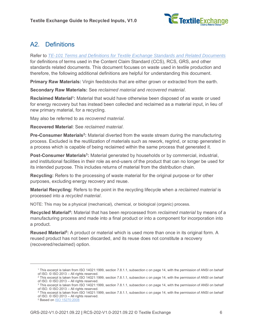

### <span id="page-5-0"></span>A2. Definitions

Refer to *[TE-101 Terms and Definitions for Textile Exchange Standards and Related Documents](https://textileexchange.org/documents/terms-and-definitions-for-textile-exchange-standards-and-related-documents/)* for definitions of terms used in the Content Claim Standard (CCS), RCS, GRS, and other standards related documents. This document focuses on waste used in textile production and therefore, the following additional definitions are helpful for understanding this document.

**Primary Raw Materials:** Virgin feedstocks that are either grown or extracted from the earth.

**Secondary Raw Materials:** See *reclaimed material* and *recovered material*.

**Reclaimed Material<sup>1</sup>:** Material that would have otherwise been disposed of as waste or used for energy recovery but has instead been collected and reclaimed as a material input, in lieu of new primary material, for a recycling.

May also be referred to as *recovered material*.

**Recovered Material**: See *reclaimed material*.

**Pre-Consumer Materials<sup>2</sup>:** Material diverted from the waste stream during the manufacturing process. Excluded is the reutilization of materials such as rework, regrind, or scrap generated in a process which is capable of being reclaimed within the same process that generated it.

**Post-Consumer Materials<sup>3</sup>:** Material generated by households or by commercial, industrial, and institutional facilities in their role as end-users of the product that can no longer be used for its intended purpose. This includes returns of material from the distribution chain.

**Recycling:** Refers to the processing of waste material for the original purpose or for other purposes, excluding energy recovery and reuse.

**Material Recycling:** Refers to the point in the recycling lifecycle when a *reclaimed material* is processed into a *recycled material*.

NOTE: This may be a physical (mechanical), chemical, or biological (organic) process.

Recycled Material<sup>4</sup>: Material that has been reprocessed from *reclaimed material* by means of a manufacturing process and made into a final product or into a component for incorporation into a product.

**Reused Material<sup>5</sup> :** A product or material which is used more than once in its original form. A reused product has not been discarded, and its reuse does not constitute a recovery (recovered/reclaimed) option.

<sup>1</sup> This excerpt is taken from ISO 14021:1999, section 7.8.1.1, subsection c on page 14, with the permission of ANSI on behalf of ISO. © ISO 2013 – All rights reserved.

<sup>&</sup>lt;sup>2</sup> This excerpt is taken from ISO 14021:1999, section 7.8.1.1, subsection c on page 14, with the permission of ANSI on behalf of ISO. © ISO 2013 – All rights reserved.

<sup>&</sup>lt;sup>3</sup> This excerpt is taken from ISO 14021:1999, section 7.8.1.1, subsection c on page 14, with the permission of ANSI on behalf of ISO. © ISO 2013 – All rights reserved.

<sup>4</sup> This excerpt is taken from ISO 14021:1999, section 7.8.1.1, subsection c on page 14, with the permission of ANSI on behalf of ISO. © ISO 2013 – All rights reserved.

<sup>5</sup> Based on [ISO 15270:2008](https://www.iso.org/standard/45089.html)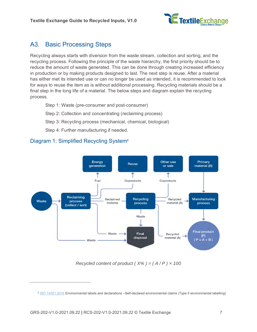

### <span id="page-6-0"></span>A3. Basic Processing Steps

Recycling always starts with diversion from the waste stream, collection and sorting, and the recycling process. Following the principle of the waste hierarchy, the first priority should be to reduce the amount of waste generated. This can be done through creating increased efficiency in production or by making products designed to last. The next step is reuse. After a material has either met its intended use or can no longer be used as intended, it is recommended to look for ways to reuse the item as is without additional processing. Recycling materials should be a final step in the long life of a material. The below steps and diagram explain the recycling process.

Step 1: Waste (pre-consumer and post-consumer)

Step 2: Collection and concentrating (reclaiming process)

Step 3: Recycling process (mechanical, chemical, biological)

Step 4: Further manufacturing if needed.





*Recycled content of product (* $X\%$ *) = (* $A/P$ *) × 100* 

<sup>6</sup> [ISO 14021:2016](https://www.iso.org/standard/66652.html) Environmental labels and declarations –Self-declared environmental claims (Type II environmental labelling)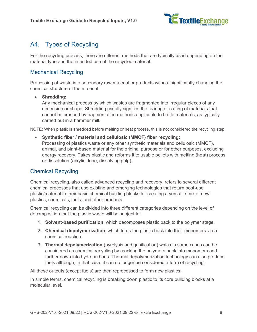

### <span id="page-7-0"></span>A4. Types of Recycling

For the recycling process, there are different methods that are typically used depending on the material type and the intended use of the recycled material.

#### Mechanical Recycling

Processing of waste into secondary raw material or products without significantly changing the chemical structure of the material.

#### • **Shredding:**

Any mechanical process by which wastes are fragmented into irregular pieces of any dimension or shape. Shredding usually signifies the tearing or cutting of materials that cannot be crushed by fragmentation methods applicable to brittle materials, as typically carried out in a hammer mill.

NOTE: When plastic is shredded before melting or heat process, this is not considered the recycling step.

• **Synthetic fiber / material and cellulosic (MMCF) fiber recycling:** Processing of plastics waste or any other synthetic materials and cellulosic (MMCF), animal, and plant-based material for the original purpose or for other purposes, excluding energy recovery. Takes plastic and reforms it to usable pellets with melting (heat) process or dissolution (acrylic dope, dissolving pulp).

#### Chemical Recycling

Chemical recycling, also called advanced recycling and recovery, refers to several different chemical processes that use existing and emerging technologies that return post-use plastic/material to their basic chemical building blocks for creating a versatile mix of new plastics, chemicals, fuels, and other products.

Chemical recycling can be divided into three different categories depending on the level of decomposition that the plastic waste will be subject to:

- 1. **Solvent-based purification**, which decomposes plastic back to the polymer stage.
- 2. **Chemical depolymerization**, which turns the plastic back into their monomers via a chemical reaction.
- 3. **Thermal depolymerization** (pyrolysis and gasification) which in some cases can be considered as chemical recycling by cracking the polymers back into monomers and further down into hydrocarbons. Thermal depolymerization technology can also produce fuels although, in that case, it can no longer be considered a form of recycling.

All these outputs (except fuels) are then reprocessed to form new plastics.

In simple terms, chemical recycling is breaking down plastic to its core building blocks at a molecular level.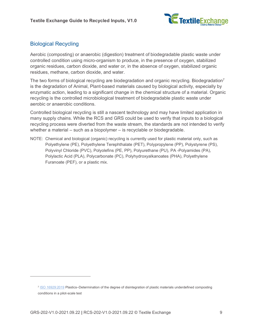

#### Biological Recycling

Aerobic (composting) or anaerobic (digestion) treatment of biodegradable plastic waste under controlled condition using micro-organism to produce, in the presence of oxygen, stabilized organic residues, carbon dioxide, and water or, in the absence of oxygen, stabilized organic residues, methane, carbon dioxide, and water.

The two forms of biological recycling are biodegradation and organic recycling. Biodegradation<sup>7</sup> is the degradation of Animal, Plant-based materials caused by biological activity, especially by enzymatic action, leading to a significant change in the chemical structure of a material. Organic recycling is the controlled microbiological treatment of biodegradable plastic waste under aerobic or anaerobic conditions.

Controlled biological recycling is still a nascent technology and may have limited application in many supply chains. While the RCS and GRS could be used to verify that inputs to a biological recycling process were diverted from the waste stream, the standards are not intended to verify whether a material – such as a biopolymer – is recyclable or biodegradable.

NOTE: Chemical and biological (organic) recycling is currently used for plastic material only, such as Polyethylene (PE), Polyethylene Terephthalate (PET), Polypropylene (PP), Polystyrene (PS), Polyvinyl Chloride (PVC), Polyolefins (PE, PP), Polyurethane (PU), PA -Polyamides (PA), Polylactic Acid (PLA), Polycarbonate (PC), Polyhydroxyalkanoates (PHA), Polyethylene Furanoate (PEF), or a plastic mix.

<sup>7</sup> [ISO 16929:2019](https://www.iso.org/obp/ui/#iso:std:iso:16929:ed-3:v1:en) Plastics–Determination of the degree of disintegration of plastic materials underdefined composting conditions in a pilot-scale test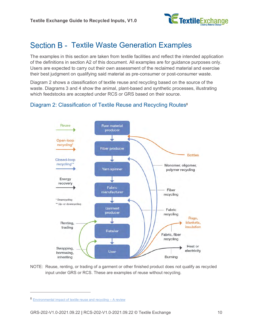

## <span id="page-9-0"></span>Section B - Textile Waste Generation Examples

The examples in this section are taken from textile facilities and reflect the intended application of the definitions in section [A2](#page-5-0) of this document. All examples are for guidance purposes only. Users are expected to carry out their own assessment of the reclaimed material and exercise their best judgment on qualifying said material as pre-consumer or post-consumer waste.

Diagram 2 shows a classification of textile reuse and recycling based on the source of the waste. Diagrams 3 and 4 show the animal, plant-based and synthetic processes, illustrating which feedstocks are accepted under RCS or GRS based on their source.

#### Diagram 2: Classification of Textile Reuse and Recycling Routes<sup>8</sup>



NOTE: Reuse, renting, or trading of a garment or other finished product does not qualify as recycled input under GRS or RCS. These are examples of reuse without recycling.

<sup>8</sup> [Environmental impact of textile reuse and recycling –](https://www.sciencedirect.com/science/article/pii/S0959652618305985?via%3Dihub) A review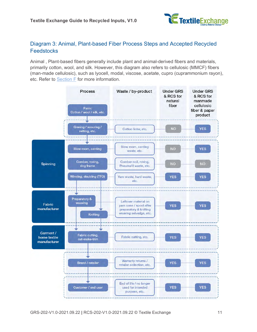

#### Diagram 3: Animal, Plant-based Fiber Process Steps and Accepted Recycled **Feedstocks**

Animal , Plant-based fibers generally include plant and animal-derived fibers and materials, primarily cotton, wool, and silk. However, this diagram also refers to cellulosic (MMCF) fibers (man-made cellulosic), such as lyocell, modal, viscose, acetate, cupro (cuprammonium rayon), etc. Refer to [Section F](#page-22-0) for more information.

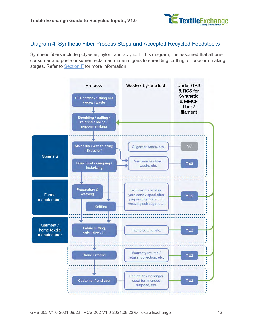

#### Diagram 4: Synthetic Fiber Process Steps and Accepted Recycled Feedstocks

Synthetic fibers include polyester, nylon, and acrylic. In this diagram, it is assumed that all preconsumer and post-consumer reclaimed material goes to shredding, cutting, or popcorn making stages. Refer to [Section F](#page-22-0) for more information.

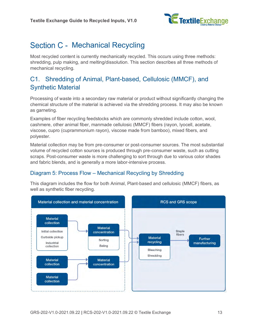

## <span id="page-12-0"></span>Section C - Mechanical Recycling

Most recycled content is currently mechanically recycled. This occurs using three methods: shredding, pulp making, and melting/dissolution. This section describes all three methods of mechanical recycling.

### <span id="page-12-1"></span>C1. Shredding of Animal, Plant-based, Cellulosic (MMCF), and Synthetic Material

Processing of waste into a secondary raw material or product without significantly changing the chemical structure of the material is achieved via the shredding process. It may also be known as garneting.

Examples of fiber recycling feedstocks which are commonly shredded include cotton, wool, cashmere, other animal fiber, manmade cellulosic (MMCF) fibers (rayon, lyocell, acetate, viscose, cupro (cuprammonium rayon), viscose made from bamboo), mixed fibers, and polyester.

Material collection may be from pre-consumer or post-consumer sources. The most substantial volume of recycled cotton sources is produced through pre-consumer waste, such as cutting scraps. Post-consumer waste is more challenging to sort through due to various color shades and fabric blends, and is generally a more labor-intensive process.

#### Diagram 5: Process Flow – Mechanical Recycling by Shredding

This diagram includes the flow for both Animal, Plant-based and cellulosic (MMCF) fibers, as well as synthetic fiber recycling.

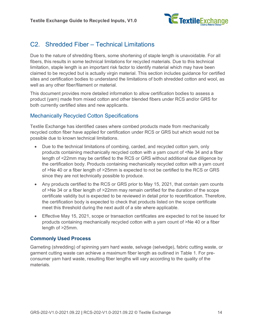

### <span id="page-13-0"></span>C2. Shredded Fiber – Technical Limitations

Due to the nature of shredding fibers, some shortening of staple length is unavoidable. For all fibers, this results in some technical limitations for recycled materials. Due to this technical limitation, staple length is an important risk factor to identify material which may have been claimed to be recycled but is actually virgin material. This section includes guidance for certified sites and certification bodies to understand the limitations of both shredded cotton and wool, as well as any other fiber/filament or material.

This document provides more detailed information to allow certification bodies to assess a product (yarn) made from mixed cotton and other blended fibers under RCS and/or GRS for both currently certified sites and new applicants.

#### Mechanically Recycled Cotton Specifications

Textile Exchange has identified cases where combed products made from mechanically recycled cotton fiber have applied for certification under RCS or GRS but which would not be possible due to known technical limitations.

- Due to the technical limitations of combing, carded, and recycled cotton yarn, only products containing mechanically recycled cotton with a yarn count of <Ne 34 and a fiber length of <22mm may be certified to the RCS or GRS without additional due diligence by the certification body. Products containing mechanically recycled cotton with a yarn count of >Ne 40 or a fiber length of >25mm is expected to not be certified to the RCS or GRS since they are not technically possible to produce.
- Any products certified to the RCS or GRS prior to May 15, 2021, that contain yarn counts of >Ne 34 or a fiber length of >22mm may remain certified for the duration of the scope certificate validity but is expected to be reviewed in detail prior to recertification. Therefore, the certification body is expected to check that products listed on the scope certificate meet this threshold during the next audit of a site where applicable.
- Effective May 15, 2021, scope or transaction certificates are expected to not be issued for products containing mechanically recycled cotton with a yarn count of >Ne 40 or a fiber length of >25mm.

#### **Commonly Used Process**

Garneting (shredding) of spinning yarn hard waste, selvage (selvedge), fabric cutting waste, or garment cutting waste can achieve a maximum fiber length as outlined in Table 1. For preconsumer yarn hard waste, resulting fiber lengths will vary according to the quality of the materials.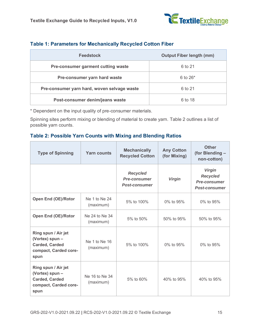

| <b>Feedstock</b>                            | <b>Output Fiber length (mm)</b> |  |  |
|---------------------------------------------|---------------------------------|--|--|
| Pre-consumer garment cutting waste          | 6 to 21                         |  |  |
| Pre-consumer yarn hard waste                | 6 to $26*$                      |  |  |
| Pre-consumer yarn hard, woven selvage waste | 6 to 21                         |  |  |
| Post-consumer denim/jeans waste             | 6 to 18                         |  |  |

#### **Table 1: Parameters for Mechanically Recycled Cotton Fiber**

\* Dependent on the input quality of pre-consumer materials.

Spinning sites perform mixing or blending of material to create yarn. Table 2 outlines a list of possible yarn counts.

#### **Table 2: Possible Yarn Counts with Mixing and Blending Ratios**

| <b>Type of Spinning</b>                                                                          | <b>Yarn counts</b>          | <b>Mechanically</b><br><b>Recycled Cotton</b>                  | <b>Any Cotton</b><br>(for Mixing) | <b>Other</b><br>(for Blending -<br>non-cotton)                                  |
|--------------------------------------------------------------------------------------------------|-----------------------------|----------------------------------------------------------------|-----------------------------------|---------------------------------------------------------------------------------|
|                                                                                                  |                             | <b>Recycled</b><br><b>Pre-consumer</b><br><b>Post-consumer</b> | <b>Virgin</b>                     | <b>Virgin</b><br><b>Recycled</b><br><b>Pre-consumer</b><br><b>Post-consumer</b> |
| <b>Open End (OE)/Rotor</b>                                                                       | Ne 1 to Ne 24<br>(maximum)  | 5% to 100%                                                     | 0% to 95%                         | 0% to 95%                                                                       |
| <b>Open End (OE)/Rotor</b>                                                                       | Ne 24 to Ne 34<br>(maximum) | 5% to 50%                                                      | 50% to 95%                        | 50% to 95%                                                                      |
| Ring spun / Air jet<br>(Vortex) spun -<br><b>Carded, Carded</b><br>compact, Carded core-<br>spun | Ne 1 to Ne 16<br>(maximum)  | 5% to 100%                                                     | 0% to 95%                         | 0% to 95%                                                                       |
| Ring spun / Air jet<br>(Vortex) spun -<br><b>Carded, Carded</b><br>compact, Carded core-<br>spun | Ne 16 to Ne 34<br>(maximum) | 5% to 60%                                                      | 40% to 95%                        | 40% to 95%                                                                      |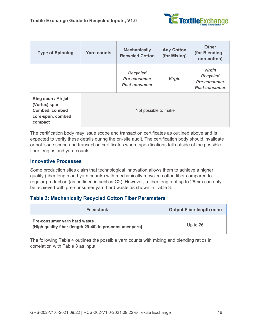

| <b>Type of Spinning</b>                                                                  | <b>Yarn counts</b> | <b>Mechanically</b><br><b>Recycled Cotton</b>                  | <b>Any Cotton</b><br>(for Mixing) | <b>Other</b><br>(for Blending -<br>non-cotton)                                  |
|------------------------------------------------------------------------------------------|--------------------|----------------------------------------------------------------|-----------------------------------|---------------------------------------------------------------------------------|
|                                                                                          |                    | <b>Recycled</b><br><b>Pre-consumer</b><br><b>Post-consumer</b> | <b>Virgin</b>                     | <b>Virgin</b><br><b>Recycled</b><br><b>Pre-consumer</b><br><b>Post-consumer</b> |
| Ring spun / Air jet<br>(Vortex) spun -<br>Combed, combed<br>core-spun, combed<br>compact |                    | Not possible to make                                           |                                   |                                                                                 |

The certification body may issue scope and transaction certificates as outlined above and is expected to verify these details during the on-site audit. The certification body should invalidate or not issue scope and transaction certificates where specifications fall outside of the possible fiber lengths and yarn counts.

#### **Innovative Processes**

Some production sites claim that technological innovation allows them to achieve a higher quality (fiber length and yarn counts) with mechanically recycled cotton fiber compared to regular production (as outlined in section [C2\)](#page-13-0). However, a fiber length of up to 26mm can only be achieved with pre-consumer yarn hard waste as shown in Table 3.

#### **Table 3: Mechanically Recycled Cotton Fiber Parameters**

| <b>Feedstock</b>                                                                                | <b>Output Fiber length (mm)</b> |
|-------------------------------------------------------------------------------------------------|---------------------------------|
| <b>Pre-consumer yarn hard waste</b><br>[High quality fiber (length 29-40) in pre-consumer yarn] | Up to $26$                      |

The following Table 4 outlines the possible yarn counts with mixing and blending ratios in correlation with Table 3 as input.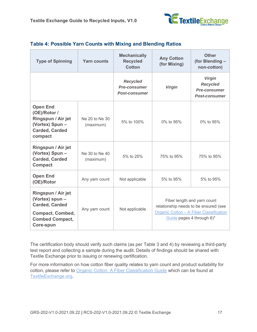

| <b>Type of Spinning</b>                                                                                                          | <b>Yarn counts</b>          | <b>Mechanically</b><br><b>Recycled</b><br><b>Cotton</b>        | <b>Any Cotton</b><br>(for Mixing) | <b>Other</b><br>(for Blending -<br>non-cotton)                                                                                               |
|----------------------------------------------------------------------------------------------------------------------------------|-----------------------------|----------------------------------------------------------------|-----------------------------------|----------------------------------------------------------------------------------------------------------------------------------------------|
|                                                                                                                                  |                             | <b>Recycled</b><br><b>Pre-consumer</b><br><b>Post-consumer</b> | <b>Virgin</b>                     | <b>Virgin</b><br><b>Recycled</b><br><b>Pre-consumer</b><br><b>Post-consumer</b>                                                              |
| <b>Open End</b><br>(OE)/Rotor /<br>Ringspun / Air jet<br>(Vortex) Spun -<br><b>Carded, Carded</b><br>compact                     | Ne 20 to Ne 30<br>(maximum) | 5% to 100%                                                     | 0% to 95%                         | 0% to 95%                                                                                                                                    |
| Ringspun / Air jet<br>(Vortex) Spun -<br><b>Carded, Carded</b><br><b>Compact</b>                                                 | Ne 30 to Ne 40<br>(maximum) | 5% to 25%                                                      | 75% to 95%                        | 75% to 95%                                                                                                                                   |
| <b>Open End</b><br>(OE)/Rotor                                                                                                    | Any yarn count              | Not applicable                                                 | 5% to 95%                         | 5% to 95%                                                                                                                                    |
| Ringspun / Air jet<br>(Vortex) spun -<br><b>Carded, Carded</b><br><b>Compact, Combed,</b><br><b>Combed Compact,</b><br>Core-spun | Any yarn count              | Not applicable                                                 |                                   | Fiber length and yarn count<br>relationship needs to be ensured (see<br>Organic Cotton - A Fiber Classification<br>Guide pages 4 through 6)* |

#### **Table 4: Possible Yarn Counts with Mixing and Blending Ratios**

The certification body should verify such claims (as per Table 3 and 4) by reviewing a third-party test report and collecting a sample during the audit. Details of findings should be shared with Textile Exchange prior to issuing or renewing certification.

For more information on how cotton fiber quality relates to yarn count and product suitability for cotton, please refer to [Organic Cotton: A Fiber Classification Guide](https://store.textileexchange.org/wp-content/uploads/woocommerce_uploads/2019/04/00_OrganicCottonFiberClassification_Guide2017_FINALforpublishing.pdf) which can be found at [TextileExchange.org.](https://textileexchange.org/)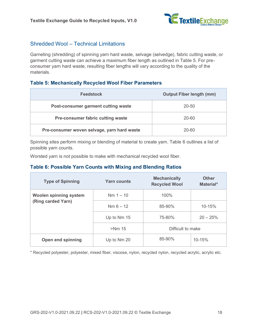

#### Shredded Wool – Technical Limitations

Garneting (shredding) of spinning yarn hard waste, selvage (selvedge), fabric cutting waste, or garment cutting waste can achieve a maximum fiber length as outlined in Table 5. For preconsumer yarn hard waste, resulting fiber lengths will vary according to the quality of the materials.

#### **Table 5: Mechanically Recycled Wool Fiber Parameters**

| <b>Feedstock</b>                            | <b>Output Fiber length (mm)</b> |
|---------------------------------------------|---------------------------------|
| Post-consumer garment cutting waste         | 20-50                           |
| <b>Pre-consumer fabric cutting waste</b>    | $20 - 60$                       |
| Pre-consumer woven selvage, yarn hard waste | 20-60                           |

Spinning sites perform mixing or blending of material to create yarn. Table 6 outlines a list of possible yarn counts.

Worsted yarn is not possible to make with mechanical recycled wool fiber.

#### **Table 6: Possible Yarn Counts with Mixing and Blending Ratios**

| <b>Type of Spinning</b>       | <b>Yarn counts</b> | <b>Mechanically</b><br><b>Recycled Wool</b> | <b>Other</b><br>Material* |
|-------------------------------|--------------------|---------------------------------------------|---------------------------|
| <b>Woolen spinning system</b> | $Nm 1 - 10$        | 100%                                        |                           |
| (Ring carded Yarn)            | $Nm 6 - 12$        | 85-90%                                      | 10-15%                    |
|                               | Up to Nm 15        | 75-80%                                      | $20 - 25%$                |
|                               | $>Nm$ 15           | Difficult to make                           |                           |
| <b>Open end spinning</b>      | Up to Nm 20        | 85-90%                                      | $10 - 15%$                |

\* Recycled polyester, polyester, mixed fiber, viscose, nylon, recycled nylon, recycled acrylic, acrylic etc.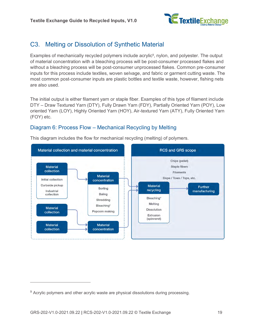

### <span id="page-18-0"></span>C3. Melting or Dissolution of Synthetic Material

Examples of mechanically recycled polymers include acrylic<sup>9</sup>, nylon, and polyester. The output of material concentration with a bleaching process will be post-consumer processed flakes and without a bleaching process will be post-consumer unprocessed flakes. Common pre-consumer inputs for this process include textiles, woven selvage, and fabric or garment cutting waste. The most common post-consumer inputs are plastic bottles and textile waste, however, fishing nets are also used.

The initial output is either filament yarn or staple fiber. Examples of this type of filament include DTY – Draw Textured Yarn (DTY), Fully Drawn Yarn (FDY), Partially Oriented Yarn (POY), Low oriented Yarn (LOY), Highly Oriented Yarn (HOY), Air-textured Yarn (ATY), Fully Oriented Yarn (FOY) etc.

#### Diagram 6: Process Flow – Mechanical Recycling by Melting



This diagram includes the flow for mechanical recycling (melting) of polymers.

<sup>&</sup>lt;sup>9</sup> Acrylic polymers and other acrylic waste are physical dissolutions during processing.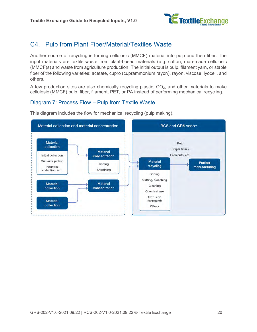

### <span id="page-19-0"></span>C4. Pulp from Plant Fiber/Material/Textiles Waste

Another source of recycling is turning cellulosic (MMCF) material into pulp and then fiber. The input materials are textile waste from plant-based materials (e.g. cotton, man-made cellulosic (MMCF)s) and waste from agriculture production. The initial output is pulp, filament yarn, or staple fiber of the following varieties: acetate, cupro (cuprammonium rayon), rayon, viscose, lyocell, and others.

A few production sites are also chemically recycling plastic,  $CO<sub>2</sub>$ , and other materials to make cellulosic (MMCF) pulp, fiber, filament, PET, or PA instead of performing mechanical recycling.

#### Diagram 7: Process Flow – Pulp from Textile Waste

This diagram includes the flow for mechanical recycling (pulp making).

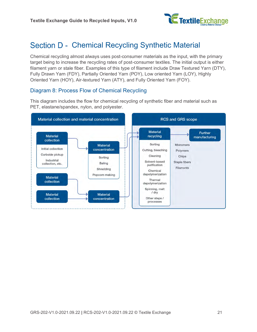

## <span id="page-20-0"></span>Section D - Chemical Recycling Synthetic Material

Chemical recycling almost always uses post-consumer materials as the input, with the primary target being to increase the recycling rates of post-consumer textiles. The initial output is either filament yarn or stale fiber. Examples of this type of filament include Draw Textured Yarn (DTY), Fully Drawn Yarn (FDY), Partially Oriented Yarn (POY), Low oriented Yarn (LOY), Highly Oriented Yarn (HOY), Air-textured Yarn (ATY), and Fully Oriented Yarn (FOY).

#### Diagram 8: Process Flow of Chemical Recycling

This diagram includes the flow for chemical recycling of synthetic fiber and material such as PET, elastane/spandex, nylon, and polyester.

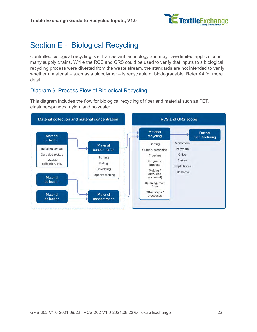

## <span id="page-21-0"></span>Section E - Biological Recycling

Controlled biological recycling is still a nascent technology and may have limited application in many supply chains. While the RCS and GRS could be used to verify that inputs to a biological recycling process were diverted from the waste stream, the standards are not intended to verify whether a material – such as a biopolymer – is recyclable or biodegradable. Refer [A4](#page-7-0) for more detail.

#### Diagram 9: Process Flow of Biological Recycling

This diagram includes the flow for biological recycling of fiber and material such as PET, elastane/spandex, nylon, and polyester.

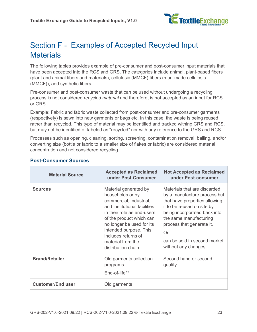

## <span id="page-22-0"></span>Section F - Examples of Accepted Recycled Input **Materials**

The following tables provides example of pre-consumer and post-consumer input materials that have been accepted into the RCS and GRS. The categories include animal, plant-based fibers (plant and animal fibers and materials), cellulosic (MMCF) fibers (man-made cellulosic (MMCF)), and synthetic fibers.

Pre-consumer and post-consumer waste that can be used without undergoing a recycling process is not considered *recycled material* and therefore, is not accepted as an input for RCS or GRS.

Example: Fabric and fabric waste collected from post-consumer and pre-consumer garments (respectively) is sewn into new garments or bags etc. In this case, the waste is being reused rather than recycled. This type of material may be identified and tracked withing GRS and RCS, but may not be identified or labeled as "recycled" nor with any reference to the GRS and RCS.

Processes such as opening, cleaning, sorting, screening, contamination removal, balling, and/or converting size (bottle or fabric to a smaller size of flakes or fabric) are considered material concentration and not considered recycling.

| <b>Material Source</b>   | <b>Accepted as Reclaimed</b><br>under Post-Consumer                                                                                                                                                                                                                                      | <b>Not Accepted as Reclaimed</b><br>under Post-consumer                                                                                                                                                                                                                          |
|--------------------------|------------------------------------------------------------------------------------------------------------------------------------------------------------------------------------------------------------------------------------------------------------------------------------------|----------------------------------------------------------------------------------------------------------------------------------------------------------------------------------------------------------------------------------------------------------------------------------|
| <b>Sources</b>           | Material generated by<br>households or by<br>commercial, industrial,<br>and institutional facilities<br>in their role as end-users<br>of the product which can<br>no longer be used for its<br>intended purpose. This<br>includes returns of<br>material from the<br>distribution chain. | Materials that are discarded<br>by a manufacture process but<br>that have properties allowing<br>it to be reused on site by<br>being incorporated back into<br>the same manufacturing<br>process that generate it.<br>Or<br>can be sold in second market<br>without any changes. |
| <b>Brand/Retailer</b>    | Old garments collection<br>programs<br>End-of-life**                                                                                                                                                                                                                                     | Second hand or second<br>quality                                                                                                                                                                                                                                                 |
| <b>Customer/End user</b> | Old garments                                                                                                                                                                                                                                                                             |                                                                                                                                                                                                                                                                                  |

#### **Post-Consumer Sources**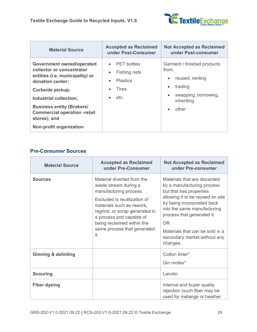

| <b>Material Source</b>                                                                                                                                                                                                                                                                                 | <b>Accepted as Reclaimed</b><br>under Post-Consumer                                 | <b>Not Accepted as Reclaimed</b><br>under Post-consumer                                                                                                               |
|--------------------------------------------------------------------------------------------------------------------------------------------------------------------------------------------------------------------------------------------------------------------------------------------------------|-------------------------------------------------------------------------------------|-----------------------------------------------------------------------------------------------------------------------------------------------------------------------|
| <b>Government owned/operated</b><br>collector or concentrator<br>entities (i.e. municipality) or<br>donation center;<br><b>Curbside pickup;</b><br>Industrial collection;<br><b>Business entity (Brokers/</b><br><b>Commercial operation -retail</b><br>stores); and<br><b>Non-profit organization</b> | <b>PET</b> bottles<br>Fishing nets<br><b>Plastics</b><br>$\bullet$<br>Tires<br>etc. | Garment / finished products<br>from:<br>reused, renting<br>$\bullet$<br>trading<br>$\bullet$<br>swapping, borrowing,<br>$\bullet$<br>inheriting<br>other<br>$\bullet$ |

#### **Pre-Consumer Sources**

| <b>Material Source</b>         | <b>Accepted as Reclaimed</b><br>under Pre-Consumer                                                                                                                                                                                                                           | <b>Not Accepted as Reclaimed</b><br>under Pre-consumer                                                                                                                                                                                                                                                     |
|--------------------------------|------------------------------------------------------------------------------------------------------------------------------------------------------------------------------------------------------------------------------------------------------------------------------|------------------------------------------------------------------------------------------------------------------------------------------------------------------------------------------------------------------------------------------------------------------------------------------------------------|
| <b>Sources</b>                 | Material diverted from the<br>waste stream during a<br>manufacturing process.<br>Excluded is reutilization of<br>materials such as rework,<br>regrind, or scrap generated in<br>a process and capable of<br>being reclaimed within the<br>same process that generated<br>it. | Materials that are discarded<br>by a manufacturing process<br>but that has properties<br>allowing it to be reused on site<br>by being incorporated back<br>into the same manufacturing<br>process that generated it.<br>OR.<br>Materials that can be sold in a<br>secondary market without any<br>changes. |
| <b>Ginning &amp; delinting</b> |                                                                                                                                                                                                                                                                              | Cotton linter*<br>Gin motes*                                                                                                                                                                                                                                                                               |
| <b>Scouring</b>                |                                                                                                                                                                                                                                                                              | Lanolin                                                                                                                                                                                                                                                                                                    |
| <b>Fiber dyeing</b>            |                                                                                                                                                                                                                                                                              | Internal and buyer quality<br>rejection (such fiber may be<br>used for mélange or heather                                                                                                                                                                                                                  |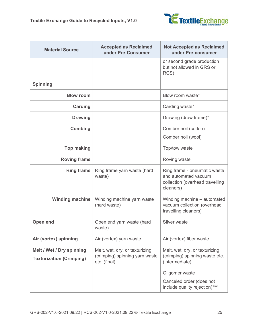

| <b>Material Source</b>                                       | <b>Accepted as Reclaimed</b><br>under Pre-Consumer                               | <b>Not Accepted as Reclaimed</b><br>under Pre-consumer                                               |
|--------------------------------------------------------------|----------------------------------------------------------------------------------|------------------------------------------------------------------------------------------------------|
|                                                              |                                                                                  | or second grade production<br>but not allowed in GRS or<br>RCS)                                      |
| <b>Spinning</b>                                              |                                                                                  |                                                                                                      |
| <b>Blow room</b>                                             |                                                                                  | Blow room waste*                                                                                     |
| <b>Carding</b>                                               |                                                                                  | Carding waste*                                                                                       |
| <b>Drawing</b>                                               |                                                                                  | Drawing (draw frame)*                                                                                |
| <b>Combing</b>                                               |                                                                                  | Comber noil (cotton)<br>Comber noil (wool)                                                           |
| <b>Top making</b>                                            |                                                                                  | Top/tow waste                                                                                        |
| <b>Roving frame</b>                                          |                                                                                  | Roving waste                                                                                         |
| <b>Ring frame</b>                                            | Ring frame yarn waste (hard<br>waste)                                            | Ring frame - pneumatic waste<br>and automated vacuum<br>collection (overhead travelling<br>cleaners) |
| <b>Winding machine</b>                                       | Winding machine yarn waste<br>(hard waste)                                       | Winding machine – automated<br>vacuum collection (overhead<br>travelling cleaners)                   |
| <b>Open end</b>                                              | Open end yarn waste (hard<br>waste)                                              | Sliver waste                                                                                         |
| Air (vortex) spinning                                        | Air (vortex) yarn waste                                                          | Air (vortex) fiber waste                                                                             |
| Melt / Wet / Dry spinning<br><b>Texturization (Crimping)</b> | Melt, wet, dry, or texturizing<br>(crimping) spinning yarn waste<br>etc. (final) | Melt, wet, dry, or texturizing<br>(crimping) spinning waste etc.<br>(intermediate)                   |
|                                                              |                                                                                  | Oligomer waste<br>Canceled order (does not<br>include quality rejection)***                          |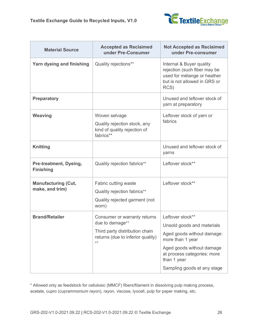

| <b>Material Source</b>                        | <b>Accepted as Reclaimed</b><br>under Pre-Consumer                                                                              | <b>Not Accepted as Reclaimed</b><br>under Pre-consumer                                                                                                                                                     |
|-----------------------------------------------|---------------------------------------------------------------------------------------------------------------------------------|------------------------------------------------------------------------------------------------------------------------------------------------------------------------------------------------------------|
| Yarn dyeing and finishing                     | Quality rejections**                                                                                                            | Internal & Buyer quality<br>rejection (such fiber may be<br>used for mélange or heather<br>but is not allowed in GRS or<br>RCS)                                                                            |
| <b>Preparatory</b>                            |                                                                                                                                 | Unused and leftover stock of<br>yarn at preparatory                                                                                                                                                        |
| <b>Weaving</b>                                | Woven selvage<br>Quality rejection stock, any<br>kind of quality rejection of<br>fabrics**                                      | Leftover stock of yarn or<br>fabrics                                                                                                                                                                       |
| <b>Knitting</b>                               |                                                                                                                                 | Unused and leftover stock of<br>yarns                                                                                                                                                                      |
| Pre-treatment, Dyeing,<br><b>Finishing</b>    | Quality rejection fabrics**                                                                                                     | Leftover stock**                                                                                                                                                                                           |
| <b>Manufacturing (Cut,</b><br>make, and trim) | Fabric cutting waste<br>Quality rejection fabrics**<br>Quality rejected garment (not<br>worn)                                   | Leftover stock**                                                                                                                                                                                           |
| <b>Brand/Retailer</b>                         | Consumer or warranty returns<br>due to damage**<br>Third party distribution chain<br>returns (due to inferior quality)<br>$***$ | Leftover stock**<br>Unsold goods and materials<br>Aged goods without damage:<br>more than 1 year<br>Aged goods without damage<br>at process categories: more<br>than 1 year<br>Sampling goods at any stage |

\* Allowed only as feedstock for cellulosic (MMCF) fibers/filament in dissolving pulp making process, acetate, cupro (cuprammonium rayon), rayon, viscose, lyocell, pulp for paper making, etc.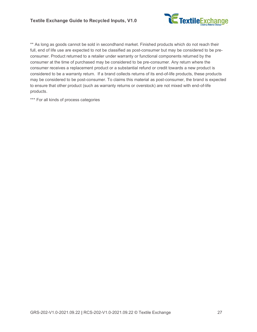

\*\* As long as goods cannot be sold in secondhand market. Finished products which do not reach their full, end of life use are expected to not be classified as post-consumer but may be considered to be preconsumer. Product returned to a retailer under warranty or functional components returned by the consumer at the time of purchased may be considered to be pre-consumer. Any return where the consumer receives a replacement product or a substantial refund or credit towards a new product is considered to be a warranty return. If a brand collects returns of its end-of-life products, these products may be considered to be post-consumer. To claims this material as post-consumer, the brand is expected to ensure that other product (such as warranty returns or overstock) are not mixed with end-of-life products.

\*\*\* For all kinds of process categories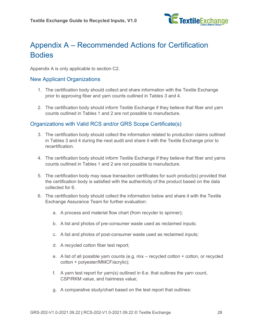

## <span id="page-27-0"></span>Appendix A – Recommended Actions for Certification **Bodies**

Appendix A is only applicable to section [C2.](#page-13-0)

#### New Applicant Organizations

- 1. The certification body should collect and share information with the Textile Exchange prior to approving fiber and yarn counts outlined in Tables 3 and 4.
- 2. The certification body should inform Textile Exchange if they believe that fiber and yarn counts outlined in Tables 1 and 2 are not possible to manufacture.

#### Organizations with Valid RCS and/or GRS Scope Certificate(s)

- 3. The certification body should collect the information related to production claims outlined in Tables 3 and 4 during the next audit and share it with the Textile Exchange prior to recertification.
- 4. The certification body should inform Textile Exchange if they believe that fiber and yarns counts outlined in Tables 1 and 2 are not possible to manufacture.
- 5. The certification body may issue transaction certificates for such product(s) provided that the certification body is satisfied with the authenticity of the product based on the data collected for 6.
- 6. The certification body should collect the information below and share it with the Textile Exchange Assurance Team for further evaluation:
	- a. A process and material flow chart (from recycler to spinner);
	- b. A list and photos of pre-consumer waste used as reclaimed inputs;
	- c. A list and photos of post-consumer waste used as reclaimed inputs;
	- d. A recycled cotton fiber test report;
	- e. A list of all possible yarn counts (e.g. mix recycled cotton + cotton, or recycled cotton + polyester/MMCF/acrylic);
	- f. A yarn test report for yarn(s) outlined in 6.e. that outlines the yarn count, CSP/RKM value, and hairiness value;
	- g. A comparative study/chart based on the test report that outlines: